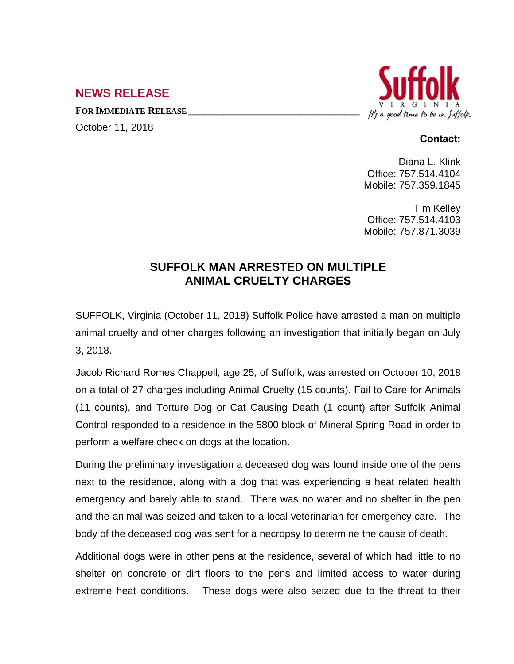## **NEWS RELEASE**

**FOR IMMEDIATE RELEASE \_\_\_\_\_\_\_\_\_\_\_\_\_\_\_\_\_\_\_\_\_\_\_\_\_\_\_\_\_\_\_\_\_\_**

October 11, 2018



## **Contact:**

Diana L. Klink Office: 757.514.4104 Mobile: 757.359.1845

Tim Kelley Office: 757.514.4103 Mobile: 757.871.3039

## **SUFFOLK MAN ARRESTED ON MULTIPLE ANIMAL CRUELTY CHARGES**

SUFFOLK, Virginia (October 11, 2018) Suffolk Police have arrested a man on multiple animal cruelty and other charges following an investigation that initially began on July 3, 2018.

Jacob Richard Romes Chappell, age 25, of Suffolk, was arrested on October 10, 2018 on a total of 27 charges including Animal Cruelty (15 counts), Fail to Care for Animals (11 counts), and Torture Dog or Cat Causing Death (1 count) after Suffolk Animal Control responded to a residence in the 5800 block of Mineral Spring Road in order to perform a welfare check on dogs at the location.

During the preliminary investigation a deceased dog was found inside one of the pens next to the residence, along with a dog that was experiencing a heat related health emergency and barely able to stand. There was no water and no shelter in the pen and the animal was seized and taken to a local veterinarian for emergency care. The body of the deceased dog was sent for a necropsy to determine the cause of death.

Additional dogs were in other pens at the residence, several of which had little to no shelter on concrete or dirt floors to the pens and limited access to water during extreme heat conditions. These dogs were also seized due to the threat to their